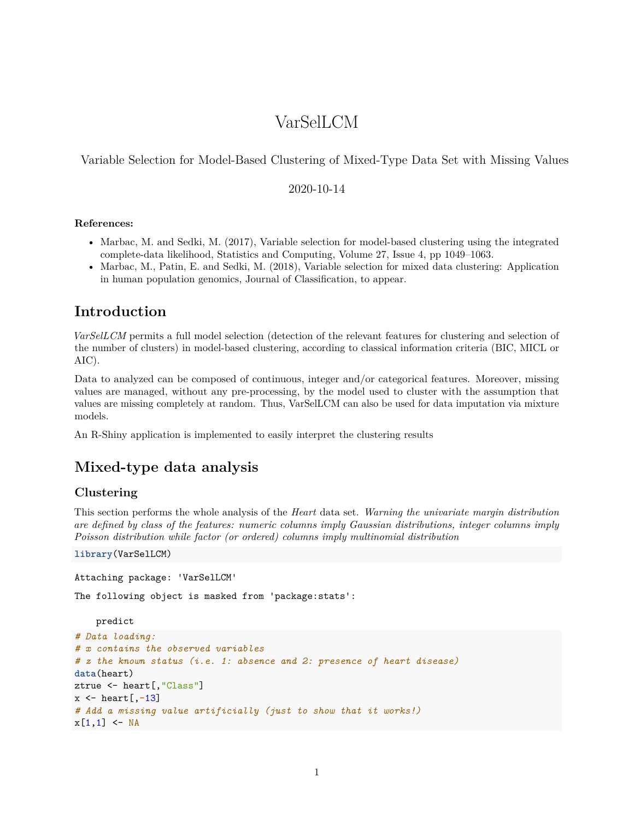# VarSelLCM

Variable Selection for Model-Based Clustering of Mixed-Type Data Set with Missing Values

#### 2020-10-14

#### **References:**

- Marbac, M. and Sedki, M. (2017), [Variable selection for model-based clustering using the integrated](https://link.springer.com/article/10.1007/s11222-016-9670-1) [complete-data likelihood,](https://link.springer.com/article/10.1007/s11222-016-9670-1) Statistics and Computing, Volume 27, Issue 4, pp 1049–1063.
- Marbac, M., Patin, E. and Sedki, M. (2018), [Variable selection for mixed data clustering: Application](https://arxiv.org/abs/1703.02293) [in human population genomics,](https://arxiv.org/abs/1703.02293) Journal of Classification, to appear.

## **Introduction**

*[VarSelLCM](https://CRAN.R-project.org/package=VarSelLCM)* permits a full model selection (detection of the relevant features for clustering and selection of the number of clusters) in model-based clustering, according to classical information criteria (BIC, MICL or AIC).

Data to analyzed can be composed of continuous, integer and/or categorical features. Moreover, missing values are managed, without any pre-processing, by the model used to cluster with the assumption that values are missing completely at random. Thus, VarSelLCM can also be used for data imputation via mixture models.

An R-Shiny application is implemented to easily interpret the clustering results

## **Mixed-type data analysis**

### **Clustering**

This section performs the whole analysis of the *Heart* data set. *Warning the univariate margin distribution are defined by class of the features: numeric columns imply Gaussian distributions, integer columns imply Poisson distribution while factor (or ordered) columns imply multinomial distribution*

**library**(VarSelLCM)

Attaching package: 'VarSelLCM'

The following object is masked from 'package:stats':

predict

```
# Data loading:
# x contains the observed variables
# z the known status (i.e. 1: absence and 2: presence of heart disease)
data(heart)
ztrue <- heart[,"Class"]
x <- heart[,-13]
# Add a missing value artificially (just to show that it works!)
x[1,1] <- NA
```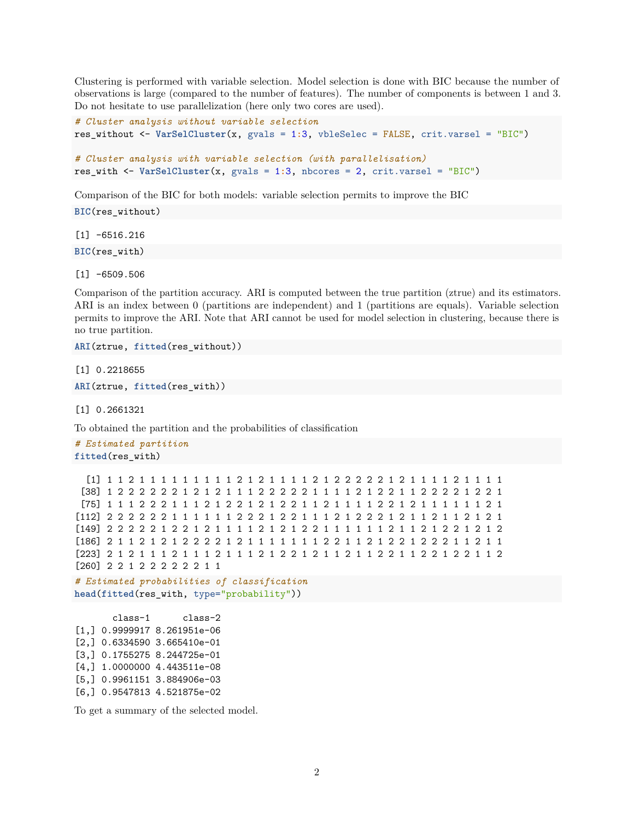Clustering is performed with variable selection. Model selection is done with BIC because the number of observations is large (compared to the number of features). The number of components is between 1 and 3. Do not hesitate to use parallelization (here only two cores are used).

```
# Cluster analysis without variable selection
res_without <- VarSelCluster(x, gvals = 1:3, vbleSelec = FALSE, crit.varsel = "BIC")
```

```
# Cluster analysis with variable selection (with parallelisation)
res_with <- VarSelCluster(x, gvals = 1:3, nbcores = 2, crit.varsel = "BIC")
```
Comparison of the BIC for both models: variable selection permits to improve the BIC

**BIC**(res\_without)

 $[1] -6516.216$ **BIC**(res\_with)

 $[1] -6509.506$ 

Comparison of the partition accuracy. ARI is computed between the true partition (ztrue) and its estimators. ARI is an index between 0 (partitions are independent) and 1 (partitions are equals). Variable selection permits to improve the ARI. Note that ARI cannot be used for model selection in clustering, because there is no true partition.

**ARI**(ztrue, **fitted**(res\_without))

[1] 0.2218655

**ARI**(ztrue, **fitted**(res\_with))

[1] 0.2661321

To obtained the partition and the probabilities of classification

*# Estimated partition* **fitted**(res\_with)

```
[1] 1 1 2 1 1 1 1 1 1 1 1 1 2 1 2 1 1 1 1 2 1 2 2 2 2 2 1 2 1 1 1 1 2 1 1 1 1
[38] 1 2 2 2 2 2 2 1 2 1 2 1 1 1 2 2 2 2 2 1 1 1 1 2 1 2 2 1 1 2 2 2 2 1 2 2 1
[75] 1 1 1 2 2 2 1 1 1 2 1 2 2 1 2 1 2 2 1 1 2 1 1 1 1 2 2 1 2 1 1 1 1 1 1 2 1
[112] 2 2 2 2 2 2 1 1 1 1 1 1 2 2 2 1 2 2 1 1 1 2 1 2 2 2 1 2 1 1 2 1 1 2 1 2 1
[149] 2 2 2 2 2 1 2 2 1 2 1 1 1 1 2 1 2 1 2 2 1 1 1 1 1 1 2 1 1 2 1 2 2 1 2 1 2
[186] 2 1 1 2 1 2 1 2 2 2 2 1 2 1 1 1 1 1 1 1 2 2 1 1 2 1 2 2 1 2 2 2 1 1 2 1 1
[223] 2 1 2 1 1 1 2 1 1 1 2 1 1 1 2 1 2 2 1 2 1 1 2 1 1 2 2 1 1 2 2 1 2 2 1 1 2
```
[260] 2 2 1 2 2 2 2 2 2 1 1

```
# Estimated probabilities of classification
head(fitted(res_with, type="probability"))
```
class-1 class-2 [1,] 0.9999917 8.261951e-06 [2,] 0.6334590 3.665410e-01 [3,] 0.1755275 8.244725e-01 [4,] 1.0000000 4.443511e-08 [5,] 0.9961151 3.884906e-03 [6,] 0.9547813 4.521875e-02

To get a summary of the selected model.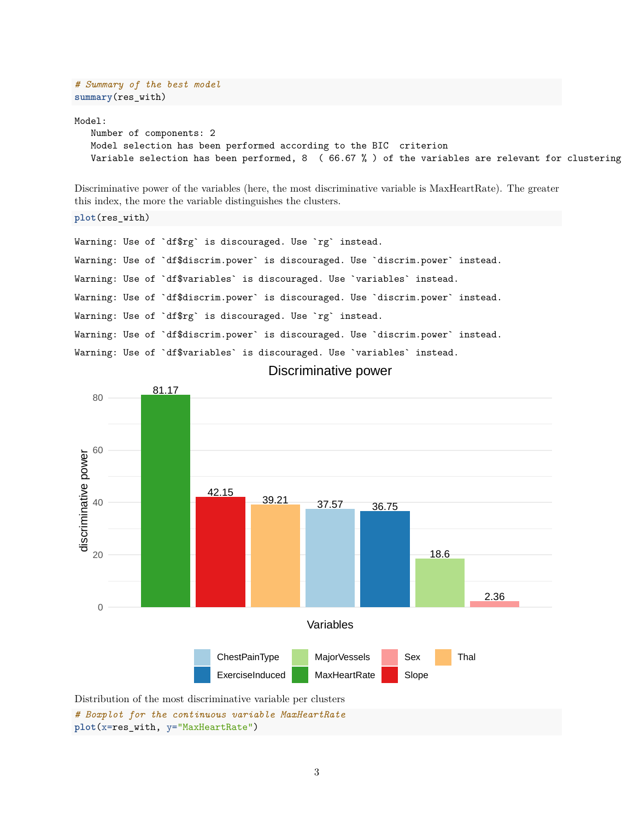*# Summary of the best model* **summary**(res\_with)

Model:

```
Number of components: 2
Model selection has been performed according to the BIC criterion
Variable selection has been performed, 8 ( 66.67 % ) of the variables are relevant for clustering
```
Discriminative power of the variables (here, the most discriminative variable is MaxHeartRate). The greater this index, the more the variable distinguishes the clusters.

**plot**(res\_with)

Warning: Use of `df\$rg` is discouraged. Use `rg` instead. Warning: Use of `df\$discrim.power` is discouraged. Use `discrim.power` instead. Warning: Use of `df\$variables` is discouraged. Use `variables` instead. Warning: Use of `df\$discrim.power` is discouraged. Use `discrim.power` instead. Warning: Use of `df\$rg` is discouraged. Use `rg` instead. Warning: Use of `df\$discrim.power` is discouraged. Use `discrim.power` instead. Warning: Use of `df\$variables` is discouraged. Use `variables` instead.

Discriminative power



**plot**(x=res\_with, y="MaxHeartRate")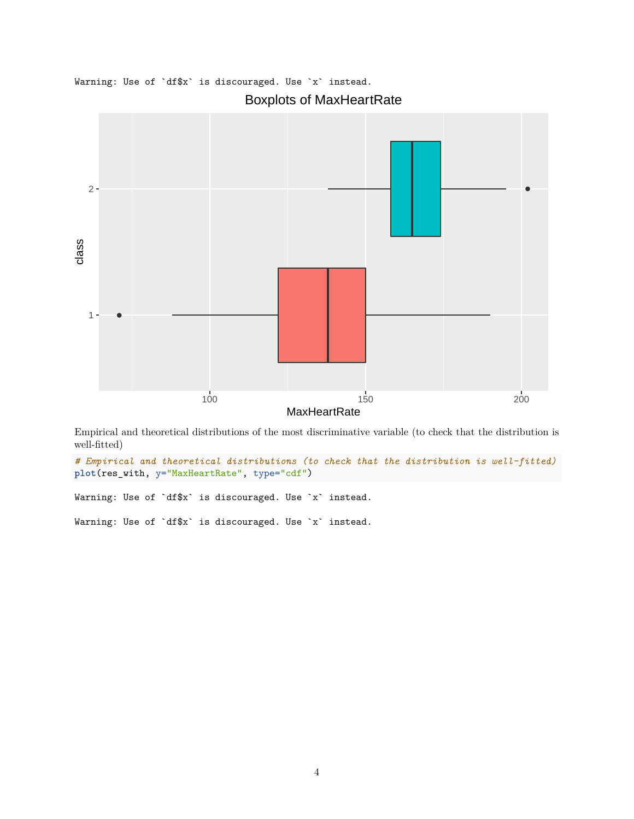

Warning: Use of `df\$x` is discouraged. Use `x` instead.

Empirical and theoretical distributions of the most discriminative variable (to check that the distribution is well-fitted)

*# Empirical and theoretical distributions (to check that the distribution is well-fitted)* **plot**(res\_with, y="MaxHeartRate", type="cdf")

Warning: Use of `df\$x` is discouraged. Use `x` instead.

Warning: Use of `df\$x` is discouraged. Use `x` instead.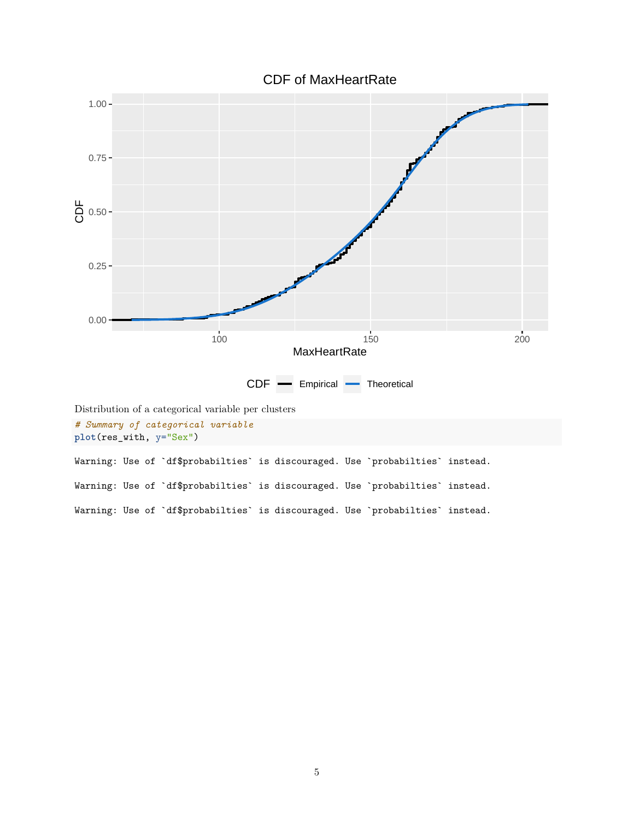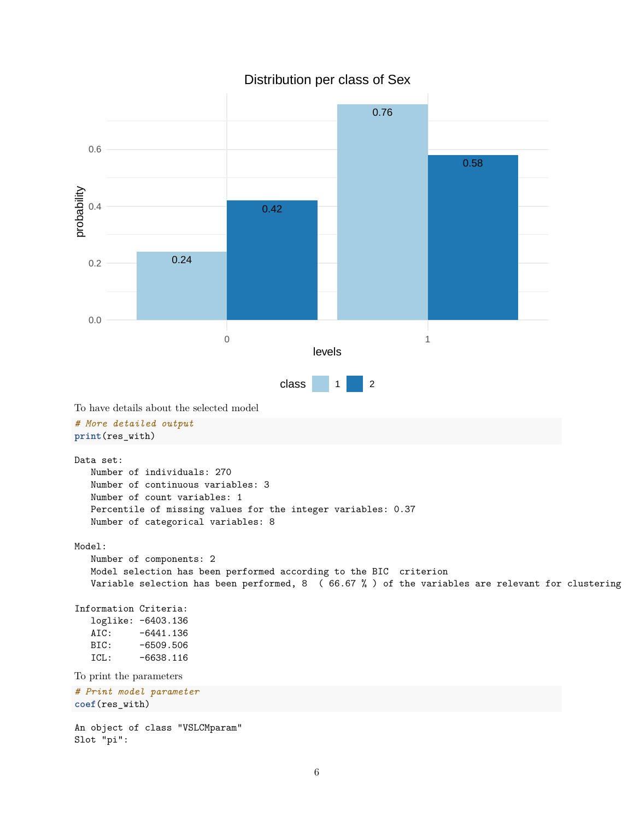

### Distribution per class of Sex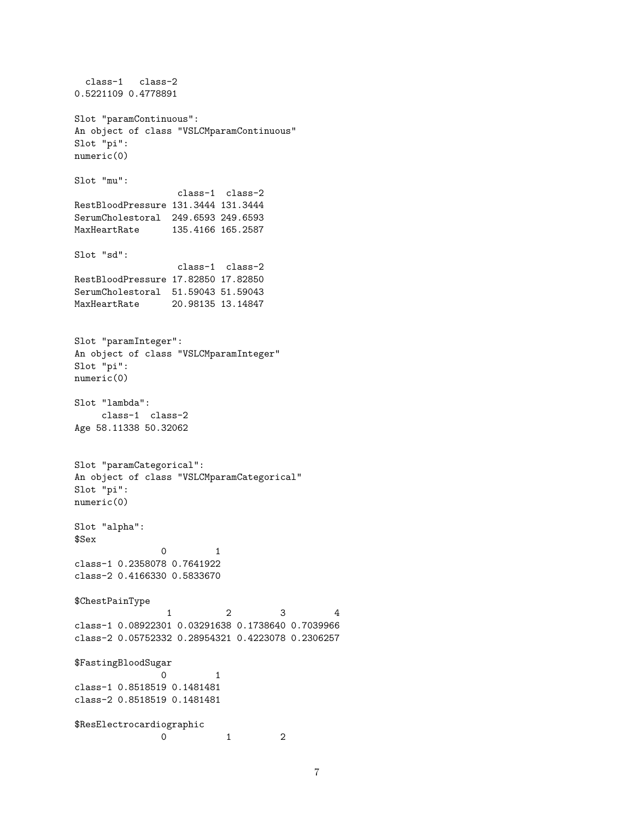```
class-1 class-2
0.5221109 0.4778891
Slot "paramContinuous":
An object of class "VSLCMparamContinuous"
Slot "pi":
numeric(0)
Slot "mu":
                 class-1 class-2
RestBloodPressure 131.3444 131.3444
SerumCholestoral 249.6593 249.6593
MaxHeartRate 135.4166 165.2587
Slot "sd":
                 class-1 class-2
RestBloodPressure 17.82850 17.82850
SerumCholestoral 51.59043 51.59043
MaxHeartRate 20.98135 13.14847
Slot "paramInteger":
An object of class "VSLCMparamInteger"
Slot "pi":
numeric(0)
Slot "lambda":
    class-1 class-2
Age 58.11338 50.32062
Slot "paramCategorical":
An object of class "VSLCMparamCategorical"
Slot "pi":
numeric(0)
Slot "alpha":
$Sex
               0 1
class-1 0.2358078 0.7641922
class-2 0.4166330 0.5833670
$ChestPainType
                1 2 3 4
class-1 0.08922301 0.03291638 0.1738640 0.7039966
class-2 0.05752332 0.28954321 0.4223078 0.2306257
$FastingBloodSugar
              0 1
class-1 0.8518519 0.1481481
class-2 0.8518519 0.1481481
$ResElectrocardiographic
               0 1 2
```

```
7
```